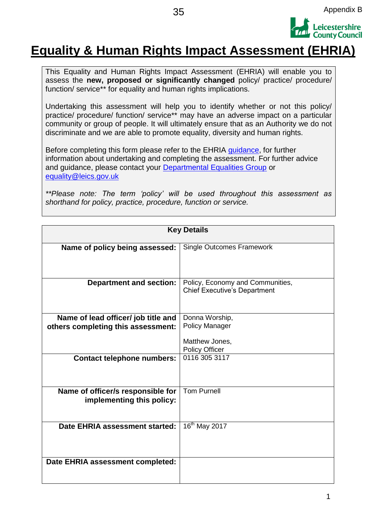

### **Equality & Human Rights Impact Assessment (EHRIA)**

This Equality and Human Rights Impact Assessment (EHRIA) will enable you to assess the **new, proposed or significantly changed** policy/ practice/ procedure/ function/ service\*\* for equality and human rights implications.

Undertaking this assessment will help you to identify whether or not this policy/ practice/ procedure/ function/ service\*\* may have an adverse impact on a particular community or group of people. It will ultimately ensure that as an Authority we do not discriminate and we are able to promote equality, diversity and human rights.

Before completing this form please refer to the EHRIA guidance, for further information about undertaking and completing the assessment. For further advice and guidance, please contact your **Departmental Equalities Group** or [equality@leics.gov.uk](mailto:equality@leics.gov.uk)

*\*\*Please note: The term 'policy' will be used throughout this assessment as shorthand for policy, practice, procedure, function or service.*

| <b>Key Details</b>                  |                                     |  |  |  |  |
|-------------------------------------|-------------------------------------|--|--|--|--|
|                                     |                                     |  |  |  |  |
| Name of policy being assessed:      | <b>Single Outcomes Framework</b>    |  |  |  |  |
|                                     |                                     |  |  |  |  |
|                                     |                                     |  |  |  |  |
|                                     |                                     |  |  |  |  |
| <b>Department and section:</b>      | Policy, Economy and Communities,    |  |  |  |  |
|                                     | <b>Chief Executive's Department</b> |  |  |  |  |
|                                     |                                     |  |  |  |  |
|                                     |                                     |  |  |  |  |
| Name of lead officer/ job title and | Donna Worship,                      |  |  |  |  |
| others completing this assessment:  | <b>Policy Manager</b>               |  |  |  |  |
|                                     |                                     |  |  |  |  |
|                                     | Matthew Jones,                      |  |  |  |  |
|                                     | <b>Policy Officer</b>               |  |  |  |  |
| <b>Contact telephone numbers:</b>   | 0116 305 3117                       |  |  |  |  |
|                                     |                                     |  |  |  |  |
|                                     |                                     |  |  |  |  |
|                                     |                                     |  |  |  |  |
| Name of officer/s responsible for   | <b>Tom Purnell</b>                  |  |  |  |  |
| implementing this policy:           |                                     |  |  |  |  |
|                                     |                                     |  |  |  |  |
|                                     |                                     |  |  |  |  |
| Date EHRIA assessment started:      | 16 <sup>th</sup> May 2017           |  |  |  |  |
|                                     |                                     |  |  |  |  |
|                                     |                                     |  |  |  |  |
|                                     |                                     |  |  |  |  |
| Date EHRIA assessment completed:    |                                     |  |  |  |  |
|                                     |                                     |  |  |  |  |
|                                     |                                     |  |  |  |  |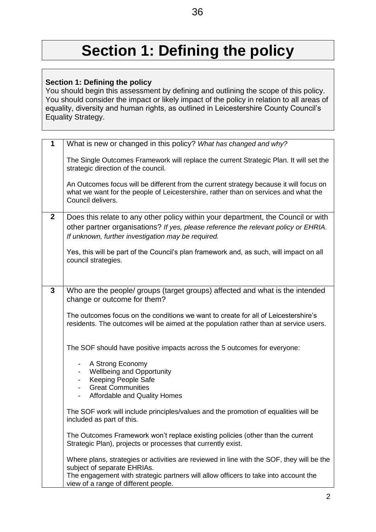# **Section 1: Defining the policy**

#### **Section 1: Defining the policy**

You should begin this assessment by defining and outlining the scope of this policy. You should consider the impact or likely impact of the policy in relation to all areas of equality, diversity and human rights, as outlined in Leicestershire County Council's Equality Strategy.

| $\mathbf 1$  | What is new or changed in this policy? What has changed and why?                                                                                                                                   |
|--------------|----------------------------------------------------------------------------------------------------------------------------------------------------------------------------------------------------|
|              | The Single Outcomes Framework will replace the current Strategic Plan. It will set the<br>strategic direction of the council.                                                                      |
|              | An Outcomes focus will be different from the current strategy because it will focus on<br>what we want for the people of Leicestershire, rather than on services and what the<br>Council delivers. |
| $\mathbf{2}$ | Does this relate to any other policy within your department, the Council or with                                                                                                                   |
|              | other partner organisations? If yes, please reference the relevant policy or EHRIA.<br>If unknown, further investigation may be required.                                                          |
|              | Yes, this will be part of the Council's plan framework and, as such, will impact on all<br>council strategies.                                                                                     |
|              |                                                                                                                                                                                                    |
| 3            | Who are the people/ groups (target groups) affected and what is the intended<br>change or outcome for them?                                                                                        |
|              | The outcomes focus on the conditions we want to create for all of Leicestershire's<br>residents. The outcomes will be aimed at the population rather than at service users.                        |
|              | The SOF should have positive impacts across the 5 outcomes for everyone:                                                                                                                           |
|              | A Strong Economy<br>$\blacksquare$<br><b>Wellbeing and Opportunity</b><br>$\blacksquare$                                                                                                           |
|              | Keeping People Safe<br>$\overline{\phantom{a}}$                                                                                                                                                    |
|              | <b>Great Communities</b><br>Affordable and Quality Homes                                                                                                                                           |
|              | The SOF work will include principles/values and the promotion of equalities will be<br>included as part of this.                                                                                   |
|              | The Outcomes Framework won't replace existing policies (other than the current<br>Strategic Plan), projects or processes that currently exist.                                                     |
|              | Where plans, strategies or activities are reviewed in line with the SOF, they will be the<br>subject of separate EHRIAs.                                                                           |
|              | The engagement with strategic partners will allow officers to take into account the<br>view of a range of different people.                                                                        |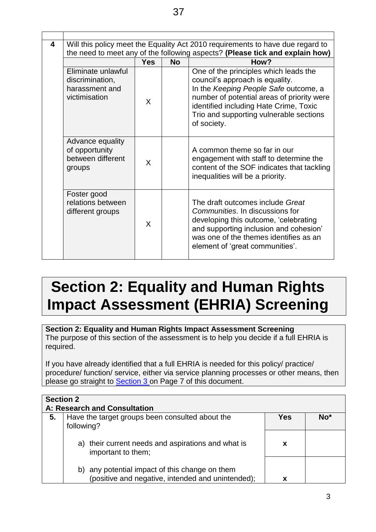| 4 | Will this policy meet the Equality Act 2010 requirements to have due regard to<br>the need to meet any of the following aspects? (Please tick and explain how) |              |           |                                                                                                                                                                                                                                                                     |  |
|---|----------------------------------------------------------------------------------------------------------------------------------------------------------------|--------------|-----------|---------------------------------------------------------------------------------------------------------------------------------------------------------------------------------------------------------------------------------------------------------------------|--|
|   |                                                                                                                                                                | <b>Yes</b>   | <b>No</b> | How?                                                                                                                                                                                                                                                                |  |
|   | Eliminate unlawful<br>discrimination,<br>harassment and<br>victimisation                                                                                       | X            |           | One of the principles which leads the<br>council's approach is equality.<br>In the Keeping People Safe outcome, a<br>number of potential areas of priority were<br>identified including Hate Crime, Toxic<br>Trio and supporting vulnerable sections<br>of society. |  |
|   | Advance equality<br>of opportunity<br>between different<br>groups                                                                                              | X            |           | A common theme so far in our<br>engagement with staff to determine the<br>content of the SOF indicates that tackling<br>inequalities will be a priority.                                                                                                            |  |
|   | Foster good<br>relations between<br>different groups                                                                                                           | $\mathsf{X}$ |           | The draft outcomes include Great<br>Communities. In discussions for<br>developing this outcome, 'celebrating<br>and supporting inclusion and cohesion'<br>was one of the themes identifies as an<br>element of 'great communities'.                                 |  |

# **Section 2: Equality and Human Rights Impact Assessment (EHRIA) Screening**

**Section 2: Equality and Human Rights Impact Assessment Screening** The purpose of this section of the assessment is to help you decide if a full EHRIA is required.

If you have already identified that a full EHRIA is needed for this policy/ practice/ procedure/ function/ service, either via service planning processes or other means, then please go straight to **Section 3** on Page 7 of this document.

|    | <b>Section 2</b><br>A: Research and Consultation                                                    |     |                 |  |  |
|----|-----------------------------------------------------------------------------------------------------|-----|-----------------|--|--|
| 5. | Have the target groups been consulted about the<br>following?                                       | Yes | No <sup>*</sup> |  |  |
|    | a) their current needs and aspirations and what is<br>important to them;                            | x   |                 |  |  |
|    | b) any potential impact of this change on them<br>(positive and negative, intended and unintended); |     |                 |  |  |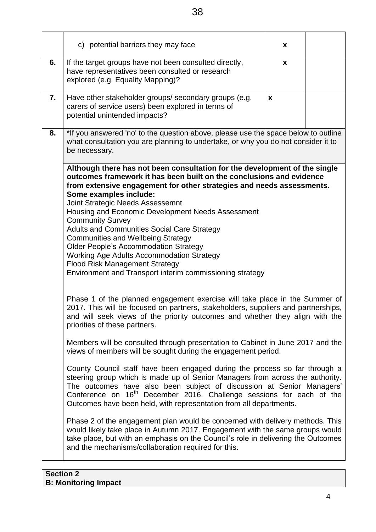|    | c) potential barriers they may face                                                                                                                                                                                                                                                                                                                                                                                                                                                                                                                                                                                                                                                                                                                                                                                                                                                                                                                                                                                                                                                                                                                                                                                                                                                                                                                                                                                                                                                                                                                                                                                                                                                                                                                                                                                                           | X |  |
|----|-----------------------------------------------------------------------------------------------------------------------------------------------------------------------------------------------------------------------------------------------------------------------------------------------------------------------------------------------------------------------------------------------------------------------------------------------------------------------------------------------------------------------------------------------------------------------------------------------------------------------------------------------------------------------------------------------------------------------------------------------------------------------------------------------------------------------------------------------------------------------------------------------------------------------------------------------------------------------------------------------------------------------------------------------------------------------------------------------------------------------------------------------------------------------------------------------------------------------------------------------------------------------------------------------------------------------------------------------------------------------------------------------------------------------------------------------------------------------------------------------------------------------------------------------------------------------------------------------------------------------------------------------------------------------------------------------------------------------------------------------------------------------------------------------------------------------------------------------|---|--|
| 6. | If the target groups have not been consulted directly,<br>have representatives been consulted or research<br>explored (e.g. Equality Mapping)?                                                                                                                                                                                                                                                                                                                                                                                                                                                                                                                                                                                                                                                                                                                                                                                                                                                                                                                                                                                                                                                                                                                                                                                                                                                                                                                                                                                                                                                                                                                                                                                                                                                                                                | X |  |
| 7. | Have other stakeholder groups/ secondary groups (e.g.<br>carers of service users) been explored in terms of<br>potential unintended impacts?                                                                                                                                                                                                                                                                                                                                                                                                                                                                                                                                                                                                                                                                                                                                                                                                                                                                                                                                                                                                                                                                                                                                                                                                                                                                                                                                                                                                                                                                                                                                                                                                                                                                                                  | X |  |
| 8. | *If you answered 'no' to the question above, please use the space below to outline<br>what consultation you are planning to undertake, or why you do not consider it to<br>be necessary.                                                                                                                                                                                                                                                                                                                                                                                                                                                                                                                                                                                                                                                                                                                                                                                                                                                                                                                                                                                                                                                                                                                                                                                                                                                                                                                                                                                                                                                                                                                                                                                                                                                      |   |  |
|    | Although there has not been consultation for the development of the single<br>outcomes framework it has been built on the conclusions and evidence<br>from extensive engagement for other strategies and needs assessments.<br>Some examples include:<br>Joint Strategic Needs Assessemnt<br>Housing and Economic Development Needs Assessment<br><b>Community Survey</b><br><b>Adults and Communities Social Care Strategy</b><br><b>Communities and Wellbeing Strategy</b><br><b>Older People's Accommodation Strategy</b><br><b>Working Age Adults Accommodation Strategy</b><br><b>Flood Risk Management Strategy</b><br>Environment and Transport interim commissioning strategy<br>Phase 1 of the planned engagement exercise will take place in the Summer of<br>2017. This will be focused on partners, stakeholders, suppliers and partnerships,<br>and will seek views of the priority outcomes and whether they align with the<br>priorities of these partners.<br>Members will be consulted through presentation to Cabinet in June 2017 and the<br>views of members will be sought during the engagement period.<br>County Council staff have been engaged during the process so far through a<br>steering group which is made up of Senior Managers from across the authority.<br>The outcomes have also been subject of discussion at Senior Managers'<br>Conference on 16 <sup>th</sup> December 2016. Challenge sessions for each of the<br>Outcomes have been held, with representation from all departments.<br>Phase 2 of the engagement plan would be concerned with delivery methods. This<br>would likely take place in Autumn 2017. Engagement with the same groups would<br>take place, but with an emphasis on the Council's role in delivering the Outcomes<br>and the mechanisms/collaboration required for this. |   |  |
|    |                                                                                                                                                                                                                                                                                                                                                                                                                                                                                                                                                                                                                                                                                                                                                                                                                                                                                                                                                                                                                                                                                                                                                                                                                                                                                                                                                                                                                                                                                                                                                                                                                                                                                                                                                                                                                                               |   |  |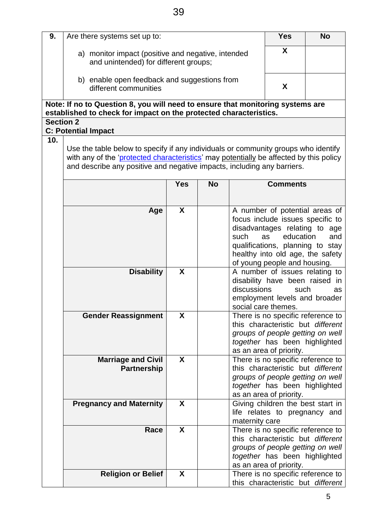| 9.               | Are there systems set up to:                                                                                                                                                                                                                            |            | <b>Yes</b> | <b>No</b>                          |                                                                                                                                                                                                                                |     |
|------------------|---------------------------------------------------------------------------------------------------------------------------------------------------------------------------------------------------------------------------------------------------------|------------|------------|------------------------------------|--------------------------------------------------------------------------------------------------------------------------------------------------------------------------------------------------------------------------------|-----|
|                  | a) monitor impact (positive and negative, intended<br>and unintended) for different groups;                                                                                                                                                             |            |            |                                    | X                                                                                                                                                                                                                              |     |
|                  | b) enable open feedback and suggestions from<br>different communities                                                                                                                                                                                   |            |            |                                    | X                                                                                                                                                                                                                              |     |
|                  | Note: If no to Question 8, you will need to ensure that monitoring systems are                                                                                                                                                                          |            |            |                                    |                                                                                                                                                                                                                                |     |
|                  | established to check for impact on the protected characteristics.                                                                                                                                                                                       |            |            |                                    |                                                                                                                                                                                                                                |     |
| <b>Section 2</b> |                                                                                                                                                                                                                                                         |            |            |                                    |                                                                                                                                                                                                                                |     |
|                  | <b>C: Potential Impact</b>                                                                                                                                                                                                                              |            |            |                                    |                                                                                                                                                                                                                                |     |
| 10.              | Use the table below to specify if any individuals or community groups who identify<br>with any of the 'protected characteristics' may potentially be affected by this policy<br>and describe any positive and negative impacts, including any barriers. |            |            |                                    |                                                                                                                                                                                                                                |     |
|                  |                                                                                                                                                                                                                                                         | <b>Yes</b> | <b>No</b>  |                                    | <b>Comments</b>                                                                                                                                                                                                                |     |
|                  |                                                                                                                                                                                                                                                         |            |            |                                    |                                                                                                                                                                                                                                |     |
|                  | Age                                                                                                                                                                                                                                                     | X          |            | such                               | A number of potential areas of<br>focus include issues specific to<br>disadvantages relating to age<br>education<br>as<br>qualifications, planning to stay<br>healthy into old age, the safety<br>of young people and housing. | and |
|                  | <b>Disability</b>                                                                                                                                                                                                                                       | X          |            | discussions<br>social care themes. | A number of issues relating to<br>disability have been raised in<br>such<br>employment levels and broader                                                                                                                      | as  |
|                  | <b>Gender Reassignment</b>                                                                                                                                                                                                                              | χ          |            |                                    | There is no specific reference to<br>this characteristic but different<br>groups of people getting on well<br>together has been highlighted<br>as an area of priority.                                                         |     |
|                  | <b>Marriage and Civil</b><br><b>Partnership</b>                                                                                                                                                                                                         | X          |            |                                    | There is no specific reference to<br>this characteristic but different<br>groups of people getting on well<br>together has been highlighted<br>as an area of priority.                                                         |     |
|                  | <b>Pregnancy and Maternity</b>                                                                                                                                                                                                                          | X          |            | maternity care                     | Giving children the best start in<br>life relates to pregnancy and                                                                                                                                                             |     |
|                  | Race                                                                                                                                                                                                                                                    | X          |            |                                    | There is no specific reference to<br>this characteristic but different<br>groups of people getting on well<br>together has been highlighted<br>as an area of priority.                                                         |     |
|                  | <b>Religion or Belief</b>                                                                                                                                                                                                                               | X          |            |                                    | There is no specific reference to                                                                                                                                                                                              |     |
|                  |                                                                                                                                                                                                                                                         |            |            |                                    | this characteristic but different                                                                                                                                                                                              |     |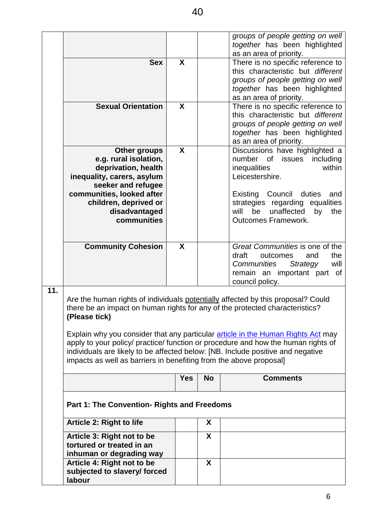|     |                                                                                                                                                                                                                                                        |            |                           | groups of people getting on well<br>together has been highlighted<br>as an area of priority.                                                                                                                                                              |
|-----|--------------------------------------------------------------------------------------------------------------------------------------------------------------------------------------------------------------------------------------------------------|------------|---------------------------|-----------------------------------------------------------------------------------------------------------------------------------------------------------------------------------------------------------------------------------------------------------|
|     |                                                                                                                                                                                                                                                        |            |                           |                                                                                                                                                                                                                                                           |
|     | <b>Sex</b>                                                                                                                                                                                                                                             | X          |                           | There is no specific reference to<br>this characteristic but different<br>groups of people getting on well<br>together has been highlighted<br>as an area of priority.                                                                                    |
|     | <b>Sexual Orientation</b>                                                                                                                                                                                                                              | X          |                           | There is no specific reference to<br>this characteristic but different<br>groups of people getting on well<br>together has been highlighted<br>as an area of priority.                                                                                    |
|     | <b>Other groups</b><br>e.g. rural isolation,<br>deprivation, health<br>inequality, carers, asylum<br>seeker and refugee                                                                                                                                | X          |                           | Discussions have highlighted a<br>number<br>issues<br>of<br>including<br>within<br>inequalities<br>Leicestershire.                                                                                                                                        |
|     | communities, looked after<br>children, deprived or<br>disadvantaged<br>communities                                                                                                                                                                     |            |                           | Existing Council<br>duties<br>and<br>strategies regarding equalities<br>will<br>be<br>unaffected<br>the<br>by<br><b>Outcomes Framework.</b>                                                                                                               |
|     | <b>Community Cohesion</b>                                                                                                                                                                                                                              | X          |                           | Great Communities is one of the<br>draft<br>the<br>outcomes<br>and<br>Communities<br>Strategy<br>will<br>remain an important part of<br>council policy.                                                                                                   |
| 11. | there be an impact on human rights for any of the protected characteristics?<br>(Please tick)<br>individuals are likely to be affected below: [NB. Include positive and negative<br>impacts as well as barriers in benefiting from the above proposal] |            |                           | Are the human rights of individuals potentially affected by this proposal? Could<br>Explain why you consider that any particular article in the Human Rights Act may<br>apply to your policy/ practice/ function or procedure and how the human rights of |
|     |                                                                                                                                                                                                                                                        | <b>Yes</b> | <b>No</b>                 | <b>Comments</b>                                                                                                                                                                                                                                           |
|     | Part 1: The Convention- Rights and Freedoms                                                                                                                                                                                                            |            |                           |                                                                                                                                                                                                                                                           |
|     | Article 2: Right to life                                                                                                                                                                                                                               |            | X                         |                                                                                                                                                                                                                                                           |
|     | Article 3: Right not to be<br>tortured or treated in an<br>inhuman or degrading way                                                                                                                                                                    |            | $\boldsymbol{\mathsf{X}}$ |                                                                                                                                                                                                                                                           |
|     | Article 4: Right not to be<br>subjected to slavery/ forced<br>labour                                                                                                                                                                                   |            | $\boldsymbol{X}$          |                                                                                                                                                                                                                                                           |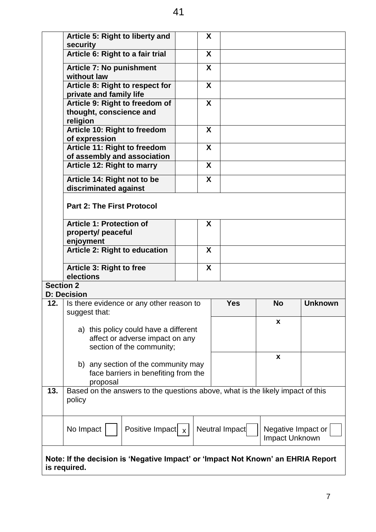|                                                                                  | Article 5: Right to liberty and<br>security                                                |  | X |                |                                      |                |
|----------------------------------------------------------------------------------|--------------------------------------------------------------------------------------------|--|---|----------------|--------------------------------------|----------------|
|                                                                                  | Article 6: Right to a fair trial                                                           |  | X |                |                                      |                |
|                                                                                  | <b>Article 7: No punishment</b><br>without law                                             |  | X |                |                                      |                |
|                                                                                  | Article 8: Right to respect for<br>private and family life                                 |  | X |                |                                      |                |
|                                                                                  | Article 9: Right to freedom of<br>thought, conscience and<br>religion                      |  | X |                |                                      |                |
|                                                                                  | Article 10: Right to freedom<br>of expression                                              |  | X |                |                                      |                |
|                                                                                  | Article 11: Right to freedom                                                               |  | X |                |                                      |                |
|                                                                                  | of assembly and association                                                                |  |   |                |                                      |                |
|                                                                                  | <b>Article 12: Right to marry</b>                                                          |  | X |                |                                      |                |
|                                                                                  | Article 14: Right not to be<br>discriminated against                                       |  | X |                |                                      |                |
|                                                                                  | <b>Part 2: The First Protocol</b>                                                          |  |   |                |                                      |                |
|                                                                                  | <b>Article 1: Protection of</b>                                                            |  | X |                |                                      |                |
|                                                                                  | property/ peaceful                                                                         |  |   |                |                                      |                |
|                                                                                  | enjoyment                                                                                  |  |   |                |                                      |                |
|                                                                                  | <b>Article 2: Right to education</b>                                                       |  | X |                |                                      |                |
|                                                                                  | Article 3: Right to free<br>elections                                                      |  | X |                |                                      |                |
| <b>Section 2</b>                                                                 |                                                                                            |  |   |                |                                      |                |
| <b>D: Decision</b>                                                               |                                                                                            |  |   |                |                                      |                |
| 12.                                                                              | Is there evidence or any other reason to<br>suggest that:                                  |  |   | <b>Yes</b>     | <b>No</b>                            | <b>Unknown</b> |
|                                                                                  |                                                                                            |  |   |                | X                                    |                |
|                                                                                  | a) this policy could have a different<br>affect or adverse impact on any                   |  |   |                |                                      |                |
|                                                                                  | section of the community;                                                                  |  |   |                |                                      |                |
|                                                                                  |                                                                                            |  |   |                | X                                    |                |
|                                                                                  | b) any section of the community may                                                        |  |   |                |                                      |                |
|                                                                                  | face barriers in benefiting from the                                                       |  |   |                |                                      |                |
| 13.                                                                              | proposal<br>Based on the answers to the questions above, what is the likely impact of this |  |   |                |                                      |                |
|                                                                                  | policy                                                                                     |  |   |                |                                      |                |
|                                                                                  | Positive Impact $x$<br>No Impact                                                           |  |   | Neutral Impact | Negative Impact or<br>Impact Unknown |                |
| Note: If the decision is 'Negative Impact' or 'Impact Not Known' an EHRIA Report |                                                                                            |  |   |                |                                      |                |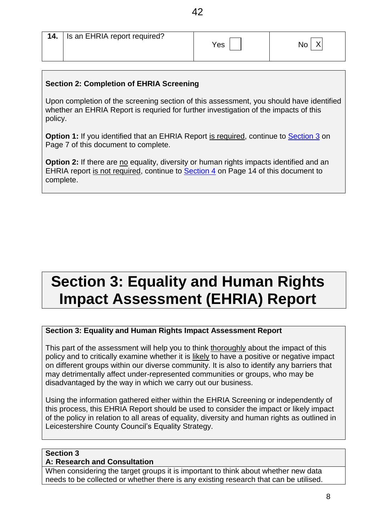| <b>14.</b>   Is an EHRIA report required? | Yes | No |
|-------------------------------------------|-----|----|

#### **Section 2: Completion of EHRIA Screening**

Upon completion of the screening section of this assessment, you should have identified whether an EHRIA Report is requried for further investigation of the impacts of this policy.

**Option 1:** If you identified that an EHRIA Report is required, continue to Section 3 on Page 7 of this document to complete.

**Option 2:** If there are no equality, diversity or human rights impacts identified and an EHRIA report is not required, continue to Section 4 on Page 14 of this document to complete.

## **Section 3: Equality and Human Rights Impact Assessment (EHRIA) Report**

#### **Section 3: Equality and Human Rights Impact Assessment Report**

This part of the assessment will help you to think thoroughly about the impact of this policy and to critically examine whether it is likely to have a positive or negative impact on different groups within our diverse community. It is also to identify any barriers that may detrimentally affect under-represented communities or groups, who may be disadvantaged by the way in which we carry out our business.

Using the information gathered either within the EHRIA Screening or independently of this process, this EHRIA Report should be used to consider the impact or likely impact of the policy in relation to all areas of equality, diversity and human rights as outlined in Leicestershire County Council's Equality Strategy.

#### **Section 3**

#### **A: Research and Consultation**

When considering the target groups it is important to think about whether new data needs to be collected or whether there is any existing research that can be utilised.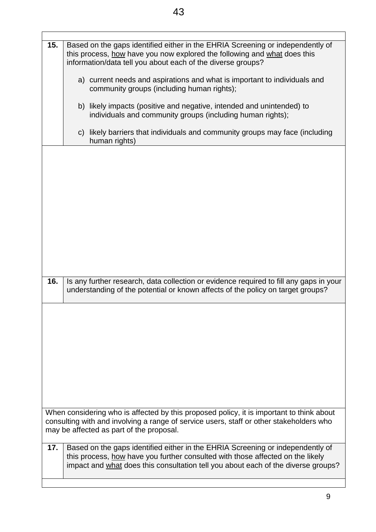| 15. | Based on the gaps identified either in the EHRIA Screening or independently of<br>this process, how have you now explored the following and what does this<br>information/data tell you about each of the diverse groups?                             |
|-----|-------------------------------------------------------------------------------------------------------------------------------------------------------------------------------------------------------------------------------------------------------|
|     | a) current needs and aspirations and what is important to individuals and<br>community groups (including human rights);                                                                                                                               |
|     | b) likely impacts (positive and negative, intended and unintended) to<br>individuals and community groups (including human rights);                                                                                                                   |
|     | c) likely barriers that individuals and community groups may face (including<br>human rights)                                                                                                                                                         |
|     |                                                                                                                                                                                                                                                       |
|     |                                                                                                                                                                                                                                                       |
|     |                                                                                                                                                                                                                                                       |
|     |                                                                                                                                                                                                                                                       |
|     |                                                                                                                                                                                                                                                       |
| 16. | Is any further research, data collection or evidence required to fill any gaps in your<br>understanding of the potential or known affects of the policy on target groups?                                                                             |
|     |                                                                                                                                                                                                                                                       |
|     |                                                                                                                                                                                                                                                       |
|     |                                                                                                                                                                                                                                                       |
|     |                                                                                                                                                                                                                                                       |
|     | When considering who is affected by this proposed policy, it is important to think about<br>consulting with and involving a range of service users, staff or other stakeholders who<br>may be affected as part of the proposal.                       |
| 17. | Based on the gaps identified either in the EHRIA Screening or independently of<br>this process, how have you further consulted with those affected on the likely<br>impact and what does this consultation tell you about each of the diverse groups? |
|     |                                                                                                                                                                                                                                                       |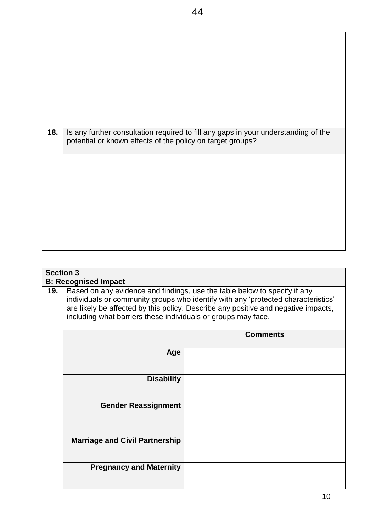| Is any further consultation required to fill any gaps in your understanding of the<br>potential or known effects of the policy on target groups? |
|--------------------------------------------------------------------------------------------------------------------------------------------------|
|                                                                                                                                                  |
|                                                                                                                                                  |
|                                                                                                                                                  |
|                                                                                                                                                  |

|     | <b>Section 3</b>                                                                                                                                                                                                                                                                                                                                     |  |  |  |  |
|-----|------------------------------------------------------------------------------------------------------------------------------------------------------------------------------------------------------------------------------------------------------------------------------------------------------------------------------------------------------|--|--|--|--|
| 19. | <b>B: Recognised Impact</b><br>Based on any evidence and findings, use the table below to specify if any<br>individuals or community groups who identify with any 'protected characteristics'<br>are likely be affected by this policy. Describe any positive and negative impacts,<br>including what barriers these individuals or groups may face. |  |  |  |  |
|     | <b>Comments</b>                                                                                                                                                                                                                                                                                                                                      |  |  |  |  |
|     | Age                                                                                                                                                                                                                                                                                                                                                  |  |  |  |  |
|     | <b>Disability</b>                                                                                                                                                                                                                                                                                                                                    |  |  |  |  |
|     | <b>Gender Reassignment</b>                                                                                                                                                                                                                                                                                                                           |  |  |  |  |
|     | <b>Marriage and Civil Partnership</b>                                                                                                                                                                                                                                                                                                                |  |  |  |  |
|     | <b>Pregnancy and Maternity</b>                                                                                                                                                                                                                                                                                                                       |  |  |  |  |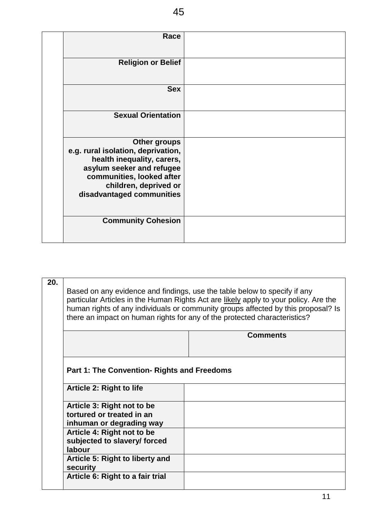| Race                                                                                                                                                                                                    |  |
|---------------------------------------------------------------------------------------------------------------------------------------------------------------------------------------------------------|--|
| <b>Religion or Belief</b>                                                                                                                                                                               |  |
| <b>Sex</b>                                                                                                                                                                                              |  |
| <b>Sexual Orientation</b>                                                                                                                                                                               |  |
| <b>Other groups</b><br>e.g. rural isolation, deprivation,<br>health inequality, carers,<br>asylum seeker and refugee<br>communities, looked after<br>children, deprived or<br>disadvantaged communities |  |
| <b>Community Cohesion</b>                                                                                                                                                                               |  |

| 20. | Based on any evidence and findings, use the table below to specify if any<br>particular Articles in the Human Rights Act are likely apply to your policy. Are the<br>human rights of any individuals or community groups affected by this proposal? Is<br>there an impact on human rights for any of the protected characteristics? |                 |  |
|-----|-------------------------------------------------------------------------------------------------------------------------------------------------------------------------------------------------------------------------------------------------------------------------------------------------------------------------------------|-----------------|--|
|     |                                                                                                                                                                                                                                                                                                                                     | <b>Comments</b> |  |
|     |                                                                                                                                                                                                                                                                                                                                     |                 |  |
|     |                                                                                                                                                                                                                                                                                                                                     |                 |  |
|     |                                                                                                                                                                                                                                                                                                                                     |                 |  |
|     |                                                                                                                                                                                                                                                                                                                                     |                 |  |
|     |                                                                                                                                                                                                                                                                                                                                     |                 |  |
|     | <b>Part 1: The Convention- Rights and Freedoms</b>                                                                                                                                                                                                                                                                                  |                 |  |
|     |                                                                                                                                                                                                                                                                                                                                     |                 |  |
|     |                                                                                                                                                                                                                                                                                                                                     |                 |  |
|     | <b>Article 2: Right to life</b>                                                                                                                                                                                                                                                                                                     |                 |  |
|     |                                                                                                                                                                                                                                                                                                                                     |                 |  |
|     | Article 3: Right not to be                                                                                                                                                                                                                                                                                                          |                 |  |
|     | tortured or treated in an                                                                                                                                                                                                                                                                                                           |                 |  |
|     |                                                                                                                                                                                                                                                                                                                                     |                 |  |
|     | inhuman or degrading way                                                                                                                                                                                                                                                                                                            |                 |  |
|     | Article 4: Right not to be                                                                                                                                                                                                                                                                                                          |                 |  |
|     | subjected to slavery/ forced                                                                                                                                                                                                                                                                                                        |                 |  |
|     |                                                                                                                                                                                                                                                                                                                                     |                 |  |
|     | labour                                                                                                                                                                                                                                                                                                                              |                 |  |
|     | Article 5: Right to liberty and                                                                                                                                                                                                                                                                                                     |                 |  |
|     |                                                                                                                                                                                                                                                                                                                                     |                 |  |
|     | security                                                                                                                                                                                                                                                                                                                            |                 |  |
|     | Article 6: Right to a fair trial                                                                                                                                                                                                                                                                                                    |                 |  |
|     |                                                                                                                                                                                                                                                                                                                                     |                 |  |
|     |                                                                                                                                                                                                                                                                                                                                     |                 |  |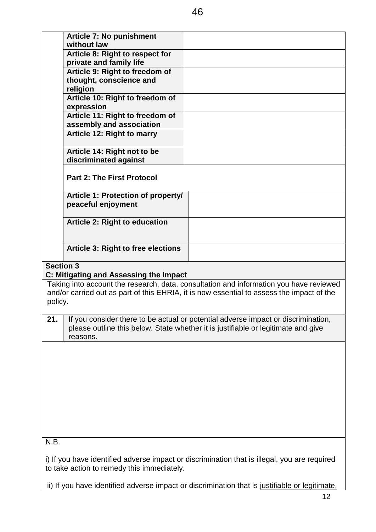|                  | <b>Article 7: No punishment</b>               |                                                                                                                                                                        |
|------------------|-----------------------------------------------|------------------------------------------------------------------------------------------------------------------------------------------------------------------------|
|                  | without law                                   |                                                                                                                                                                        |
|                  | Article 8: Right to respect for               |                                                                                                                                                                        |
|                  | private and family life                       |                                                                                                                                                                        |
|                  | Article 9: Right to freedom of                |                                                                                                                                                                        |
|                  | thought, conscience and                       |                                                                                                                                                                        |
|                  | religion                                      |                                                                                                                                                                        |
|                  | Article 10: Right to freedom of<br>expression |                                                                                                                                                                        |
|                  | Article 11: Right to freedom of               |                                                                                                                                                                        |
|                  | assembly and association                      |                                                                                                                                                                        |
|                  | Article 12: Right to marry                    |                                                                                                                                                                        |
|                  |                                               |                                                                                                                                                                        |
|                  | Article 14: Right not to be                   |                                                                                                                                                                        |
|                  | discriminated against                         |                                                                                                                                                                        |
|                  | <b>Part 2: The First Protocol</b>             |                                                                                                                                                                        |
|                  | Article 1: Protection of property/            |                                                                                                                                                                        |
|                  | peaceful enjoyment                            |                                                                                                                                                                        |
|                  |                                               |                                                                                                                                                                        |
|                  | <b>Article 2: Right to education</b>          |                                                                                                                                                                        |
|                  |                                               |                                                                                                                                                                        |
|                  |                                               |                                                                                                                                                                        |
|                  | <b>Article 3: Right to free elections</b>     |                                                                                                                                                                        |
|                  |                                               |                                                                                                                                                                        |
| <b>Section 3</b> |                                               |                                                                                                                                                                        |
|                  | C: Mitigating and Assessing the Impact        |                                                                                                                                                                        |
|                  |                                               | Taking into account the research, data, consultation and information you have reviewed                                                                                 |
|                  |                                               | and/or carried out as part of this EHRIA, it is now essential to assess the impact of the                                                                              |
| policy.          |                                               |                                                                                                                                                                        |
|                  |                                               |                                                                                                                                                                        |
| 21.              | reasons.                                      | If you consider there to be actual or potential adverse impact or discrimination,<br>please outline this below. State whether it is justifiable or legitimate and give |
|                  |                                               |                                                                                                                                                                        |
|                  |                                               |                                                                                                                                                                        |
|                  |                                               |                                                                                                                                                                        |
|                  |                                               |                                                                                                                                                                        |
|                  |                                               |                                                                                                                                                                        |
|                  |                                               |                                                                                                                                                                        |
|                  |                                               |                                                                                                                                                                        |
|                  |                                               |                                                                                                                                                                        |
|                  |                                               |                                                                                                                                                                        |
|                  |                                               |                                                                                                                                                                        |
|                  |                                               |                                                                                                                                                                        |
| N.B.             |                                               |                                                                                                                                                                        |
|                  |                                               | i) If you have identified adverse impact or discrimination that is illegal, you are required                                                                           |
|                  | to take action to remedy this immediately.    |                                                                                                                                                                        |

ii) If you have identified adverse impact or discrimination that is justifiable or legitimate,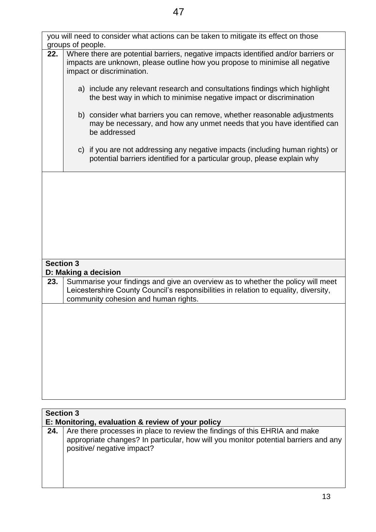|                  | groups of people.                                                                                                                                                                               | you will need to consider what actions can be taken to mitigate its effect on those                                                                                                                             |
|------------------|-------------------------------------------------------------------------------------------------------------------------------------------------------------------------------------------------|-----------------------------------------------------------------------------------------------------------------------------------------------------------------------------------------------------------------|
| 22.              | Where there are potential barriers, negative impacts identified and/or barriers or<br>impacts are unknown, please outline how you propose to minimise all negative<br>impact or discrimination. |                                                                                                                                                                                                                 |
|                  |                                                                                                                                                                                                 | a) include any relevant research and consultations findings which highlight<br>the best way in which to minimise negative impact or discrimination                                                              |
|                  |                                                                                                                                                                                                 | b) consider what barriers you can remove, whether reasonable adjustments<br>may be necessary, and how any unmet needs that you have identified can<br>be addressed                                              |
|                  |                                                                                                                                                                                                 | c) if you are not addressing any negative impacts (including human rights) or<br>potential barriers identified for a particular group, please explain why                                                       |
|                  |                                                                                                                                                                                                 |                                                                                                                                                                                                                 |
|                  |                                                                                                                                                                                                 |                                                                                                                                                                                                                 |
|                  |                                                                                                                                                                                                 |                                                                                                                                                                                                                 |
|                  |                                                                                                                                                                                                 |                                                                                                                                                                                                                 |
| <b>Section 3</b> |                                                                                                                                                                                                 | D: Making a decision                                                                                                                                                                                            |
| 23.              |                                                                                                                                                                                                 | Summarise your findings and give an overview as to whether the policy will meet<br>Leicestershire County Council's responsibilities in relation to equality, diversity,<br>community cohesion and human rights. |
|                  |                                                                                                                                                                                                 |                                                                                                                                                                                                                 |
|                  |                                                                                                                                                                                                 |                                                                                                                                                                                                                 |
|                  |                                                                                                                                                                                                 |                                                                                                                                                                                                                 |
|                  |                                                                                                                                                                                                 |                                                                                                                                                                                                                 |
|                  |                                                                                                                                                                                                 |                                                                                                                                                                                                                 |

| <b>Section 3</b> | E: Monitoring, evaluation & review of your policy                                                                                                                                               |
|------------------|-------------------------------------------------------------------------------------------------------------------------------------------------------------------------------------------------|
| 24.              | Are there processes in place to review the findings of this EHRIA and make<br>appropriate changes? In particular, how will you monitor potential barriers and any<br>positive/ negative impact? |
|                  |                                                                                                                                                                                                 |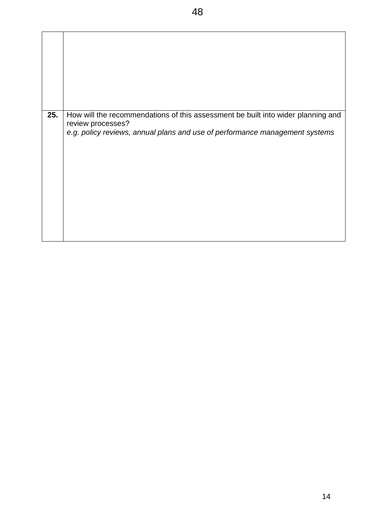| 25. | How will the recommendations of this assessment be built into wider planning and<br>review processes?<br>e.g. policy reviews, annual plans and use of performance management systems |
|-----|--------------------------------------------------------------------------------------------------------------------------------------------------------------------------------------|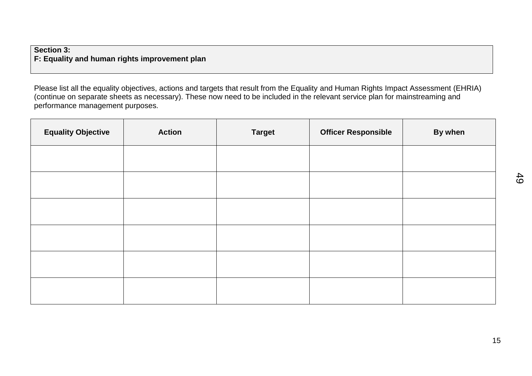#### **Section 3: F: Equality and human rights improvement plan**

Please list all the equality objectives, actions and targets that result from the Equality and Human Rights Impact Assessment (EHRIA) (continue on separate sheets as necessary). These now need to be included in the relevant service plan for mainstreaming and performance management purposes.

| <b>Equality Objective</b> | <b>Action</b> | <b>Target</b> | <b>Officer Responsible</b> | By when |
|---------------------------|---------------|---------------|----------------------------|---------|
|                           |               |               |                            |         |
|                           |               |               |                            |         |
|                           |               |               |                            |         |
|                           |               |               |                            |         |
|                           |               |               |                            |         |
|                           |               |               |                            |         |